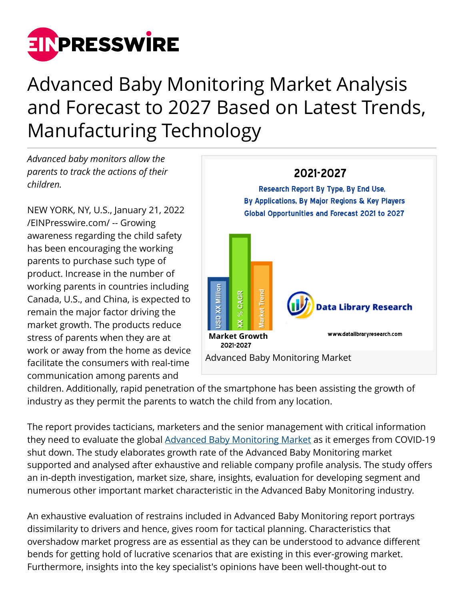

# Advanced Baby Monitoring Market Analysis and Forecast to 2027 Based on Latest Trends, Manufacturing Technology

*Advanced baby monitors allow the parents to track the actions of their children.*

NEW YORK, NY, U.S., January 21, 2022 [/EINPresswire.com/](http://www.einpresswire.com) -- Growing awareness regarding the child safety has been encouraging the working parents to purchase such type of product. Increase in the number of working parents in countries including Canada, U.S., and China, is expected to remain the major factor driving the market growth. The products reduce stress of parents when they are at work or away from the home as device facilitate the consumers with real-time communication among parents and



children. Additionally, rapid penetration of the smartphone has been assisting the growth of industry as they permit the parents to watch the child from any location.

The report provides tacticians, marketers and the senior management with critical information they need to evaluate the global [Advanced Baby Monitoring Market](https://www.datalibraryresearch.com/reports/advanced-baby-monitoring-market-2146) as it emerges from COVID-19 shut down. The study elaborates growth rate of the Advanced Baby Monitoring market supported and analysed after exhaustive and reliable company profile analysis. The study offers an in-depth investigation, market size, share, insights, evaluation for developing segment and numerous other important market characteristic in the Advanced Baby Monitoring industry.

An exhaustive evaluation of restrains included in Advanced Baby Monitoring report portrays dissimilarity to drivers and hence, gives room for tactical planning. Characteristics that overshadow market progress are as essential as they can be understood to advance different bends for getting hold of lucrative scenarios that are existing in this ever-growing market. Furthermore, insights into the key specialist's opinions have been well-thought-out to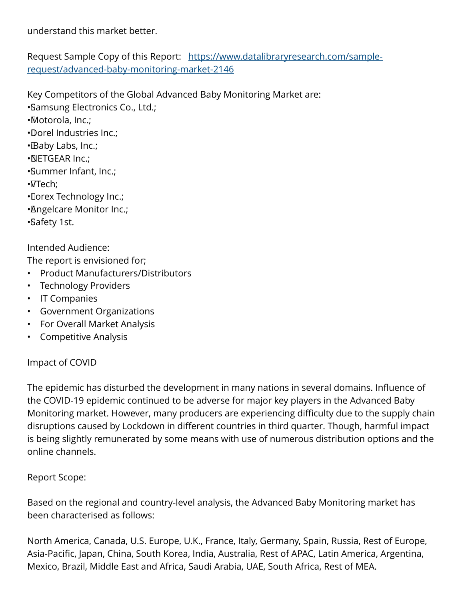understand this market better.

Request Sample Copy of this Report: [https://www.datalibraryresearch.com/sample](https://www.datalibraryresearch.com/sample-request/advanced-baby-monitoring-market-2146)[request/advanced-baby-monitoring-market-2146](https://www.datalibraryresearch.com/sample-request/advanced-baby-monitoring-market-2146)

Key Competitors of the Global Advanced Baby Monitoring Market are:

• Samsung Electronics Co., Ltd.;

• Motorola, Inc.;

• Dorel Industries Inc.;

• Baby Labs, Inc.;

- • NETGEAR Inc.;
- • Summer Infant, Inc.;

• VTech;

• Dorex Technology Inc.;

• Angelcare Monitor Inc.;

• Safety 1st.

Intended Audience:

The report is envisioned for;

- Product Manufacturers/Distributors
- Technology Providers
- IT Companies
- Government Organizations
- For Overall Market Analysis
- Competitive Analysis

## Impact of COVID

The epidemic has disturbed the development in many nations in several domains. Influence of the COVID-19 epidemic continued to be adverse for major key players in the Advanced Baby Monitoring market. However, many producers are experiencing difficulty due to the supply chain disruptions caused by Lockdown in different countries in third quarter. Though, harmful impact is being slightly remunerated by some means with use of numerous distribution options and the online channels.

## Report Scope:

Based on the regional and country-level analysis, the Advanced Baby Monitoring market has been characterised as follows:

North America, Canada, U.S. Europe, U.K., France, Italy, Germany, Spain, Russia, Rest of Europe, Asia-Pacific, Japan, China, South Korea, India, Australia, Rest of APAC, Latin America, Argentina, Mexico, Brazil, Middle East and Africa, Saudi Arabia, UAE, South Africa, Rest of MEA.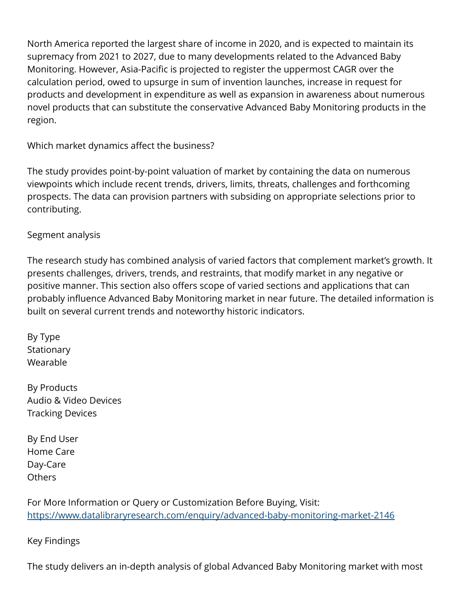North America reported the largest share of income in 2020, and is expected to maintain its supremacy from 2021 to 2027, due to many developments related to the Advanced Baby Monitoring. However, Asia-Pacific is projected to register the uppermost CAGR over the calculation period, owed to upsurge in sum of invention launches, increase in request for products and development in expenditure as well as expansion in awareness about numerous novel products that can substitute the conservative Advanced Baby Monitoring products in the region.

Which market dynamics affect the business?

The study provides point-by-point valuation of market by containing the data on numerous viewpoints which include recent trends, drivers, limits, threats, challenges and forthcoming prospects. The data can provision partners with subsiding on appropriate selections prior to contributing.

Segment analysis

The research study has combined analysis of varied factors that complement market's growth. It presents challenges, drivers, trends, and restraints, that modify market in any negative or positive manner. This section also offers scope of varied sections and applications that can probably influence Advanced Baby Monitoring market in near future. The detailed information is built on several current trends and noteworthy historic indicators.

By Type **Stationary** Wearable

By Products Audio & Video Devices Tracking Devices

By End User Home Care Day-Care **Others** 

For More Information or Query or Customization Before Buying, Visit: <https://www.datalibraryresearch.com/enquiry/advanced-baby-monitoring-market-2146>

Key Findings

The study delivers an in-depth analysis of global Advanced Baby Monitoring market with most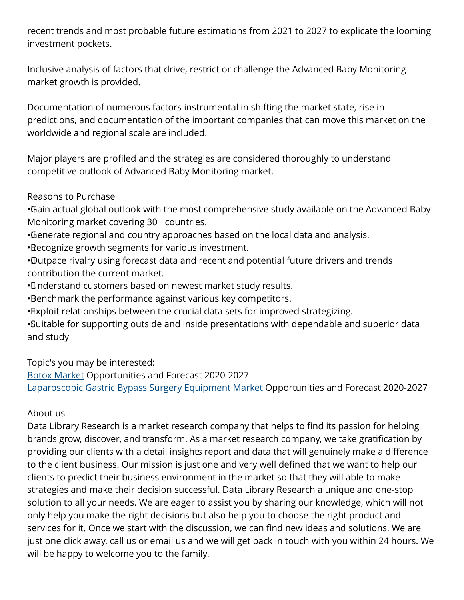recent trends and most probable future estimations from 2021 to 2027 to explicate the looming investment pockets.

Inclusive analysis of factors that drive, restrict or challenge the Advanced Baby Monitoring market growth is provided.

Documentation of numerous factors instrumental in shifting the market state, rise in predictions, and documentation of the important companies that can move this market on the worldwide and regional scale are included.

Major players are profiled and the strategies are considered thoroughly to understand competitive outlook of Advanced Baby Monitoring market.

Reasons to Purchase

• Gain actual global outlook with the most comprehensive study available on the Advanced Baby Monitoring market covering 30+ countries.

• Generate regional and country approaches based on the local data and analysis.

• Recognize growth segments for various investment.

• Outpace rivalry using forecast data and recent and potential future drivers and trends contribution the current market.

• Understand customers based on newest market study results.

• Benchmark the performance against various key competitors.

• Exploit relationships between the crucial data sets for improved strategizing.

• Suitable for supporting outside and inside presentations with dependable and superior data and study

Topic's you may be interested:

[Botox Market](https://www.datalibraryresearch.com/reports/botox-market-2720) Opportunities and Forecast 2020-2027 [Laparoscopic Gastric Bypass Surgery Equipment Market](https://www.datalibraryresearch.com/reports/laparoscopic-gastric-bypass-surgery-equipment-market-2729) Opportunities and Forecast 2020-2027

## About us

Data Library Research is a market research company that helps to find its passion for helping brands grow, discover, and transform. As a market research company, we take gratification by providing our clients with a detail insights report and data that will genuinely make a difference to the client business. Our mission is just one and very well defined that we want to help our clients to predict their business environment in the market so that they will able to make strategies and make their decision successful. Data Library Research a unique and one-stop solution to all your needs. We are eager to assist you by sharing our knowledge, which will not only help you make the right decisions but also help you to choose the right product and services for it. Once we start with the discussion, we can find new ideas and solutions. We are just one click away, call us or email us and we will get back in touch with you within 24 hours. We will be happy to welcome you to the family.